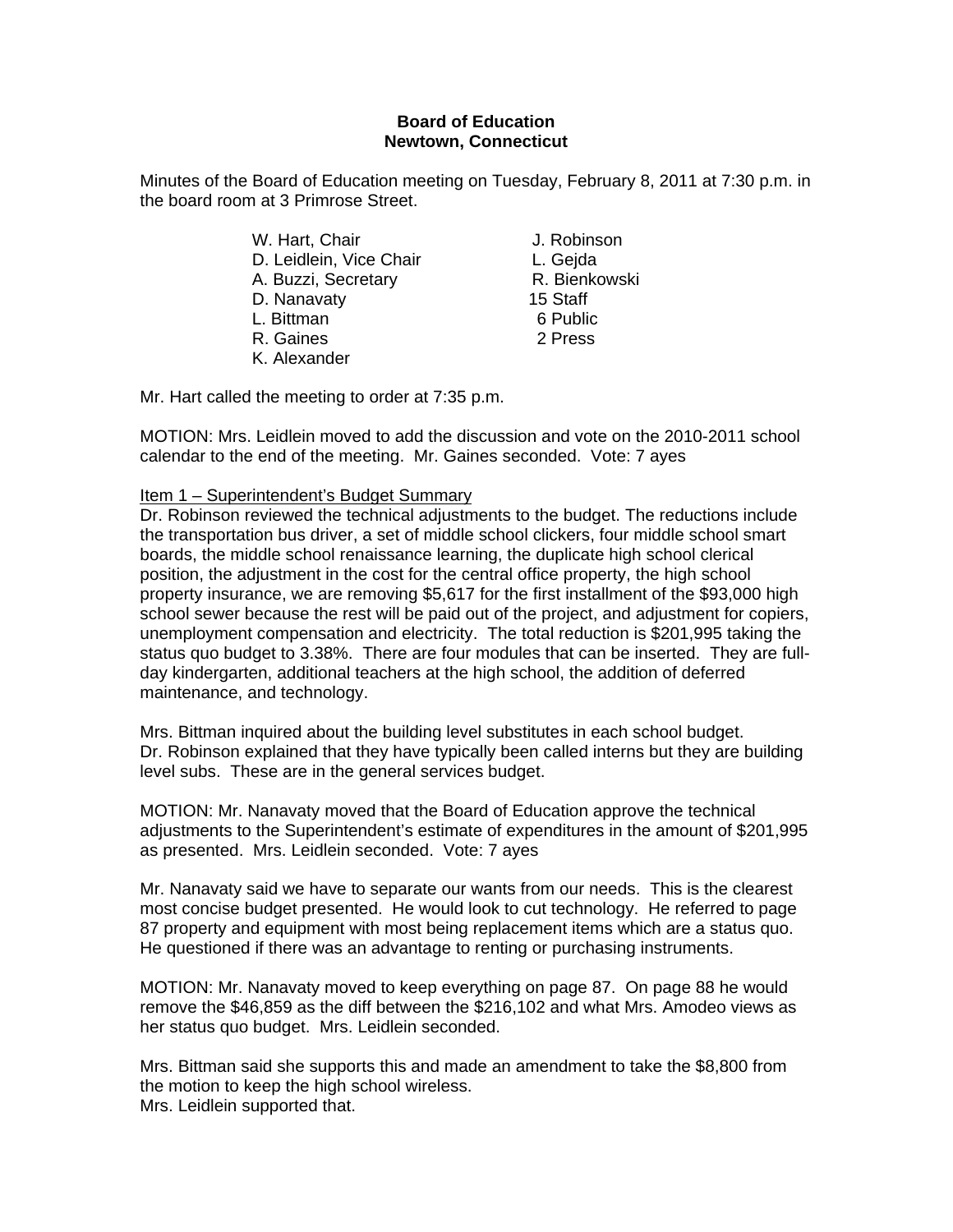## **Board of Education Newtown, Connecticut**

Minutes of the Board of Education meeting on Tuesday, February 8, 2011 at 7:30 p.m. in the board room at 3 Primrose Street.

- W. Hart, Chair **J. Robinson** D. Leidlein, Vice Chair **L. Geida** A. Buzzi, Secretary **R. Bienkowski** D. Nanavaty 15 Staff L. Bittman 6 Public R. Gaines 2 Press K. Alexander
- 

Mr. Hart called the meeting to order at 7:35 p.m.

MOTION: Mrs. Leidlein moved to add the discussion and vote on the 2010-2011 school calendar to the end of the meeting. Mr. Gaines seconded. Vote: 7 ayes

## Item 1 – Superintendent's Budget Summary

Dr. Robinson reviewed the technical adjustments to the budget. The reductions include the transportation bus driver, a set of middle school clickers, four middle school smart boards, the middle school renaissance learning, the duplicate high school clerical position, the adjustment in the cost for the central office property, the high school property insurance, we are removing \$5,617 for the first installment of the \$93,000 high school sewer because the rest will be paid out of the project, and adjustment for copiers, unemployment compensation and electricity. The total reduction is \$201,995 taking the status quo budget to 3.38%. There are four modules that can be inserted. They are fullday kindergarten, additional teachers at the high school, the addition of deferred maintenance, and technology.

Mrs. Bittman inquired about the building level substitutes in each school budget. Dr. Robinson explained that they have typically been called interns but they are building level subs. These are in the general services budget.

MOTION: Mr. Nanavaty moved that the Board of Education approve the technical adjustments to the Superintendent's estimate of expenditures in the amount of \$201,995 as presented. Mrs. Leidlein seconded. Vote: 7 ayes

Mr. Nanavaty said we have to separate our wants from our needs. This is the clearest most concise budget presented. He would look to cut technology. He referred to page 87 property and equipment with most being replacement items which are a status quo. He questioned if there was an advantage to renting or purchasing instruments.

MOTION: Mr. Nanavaty moved to keep everything on page 87. On page 88 he would remove the \$46,859 as the diff between the \$216,102 and what Mrs. Amodeo views as her status quo budget. Mrs. Leidlein seconded.

Mrs. Bittman said she supports this and made an amendment to take the \$8,800 from the motion to keep the high school wireless. Mrs. Leidlein supported that.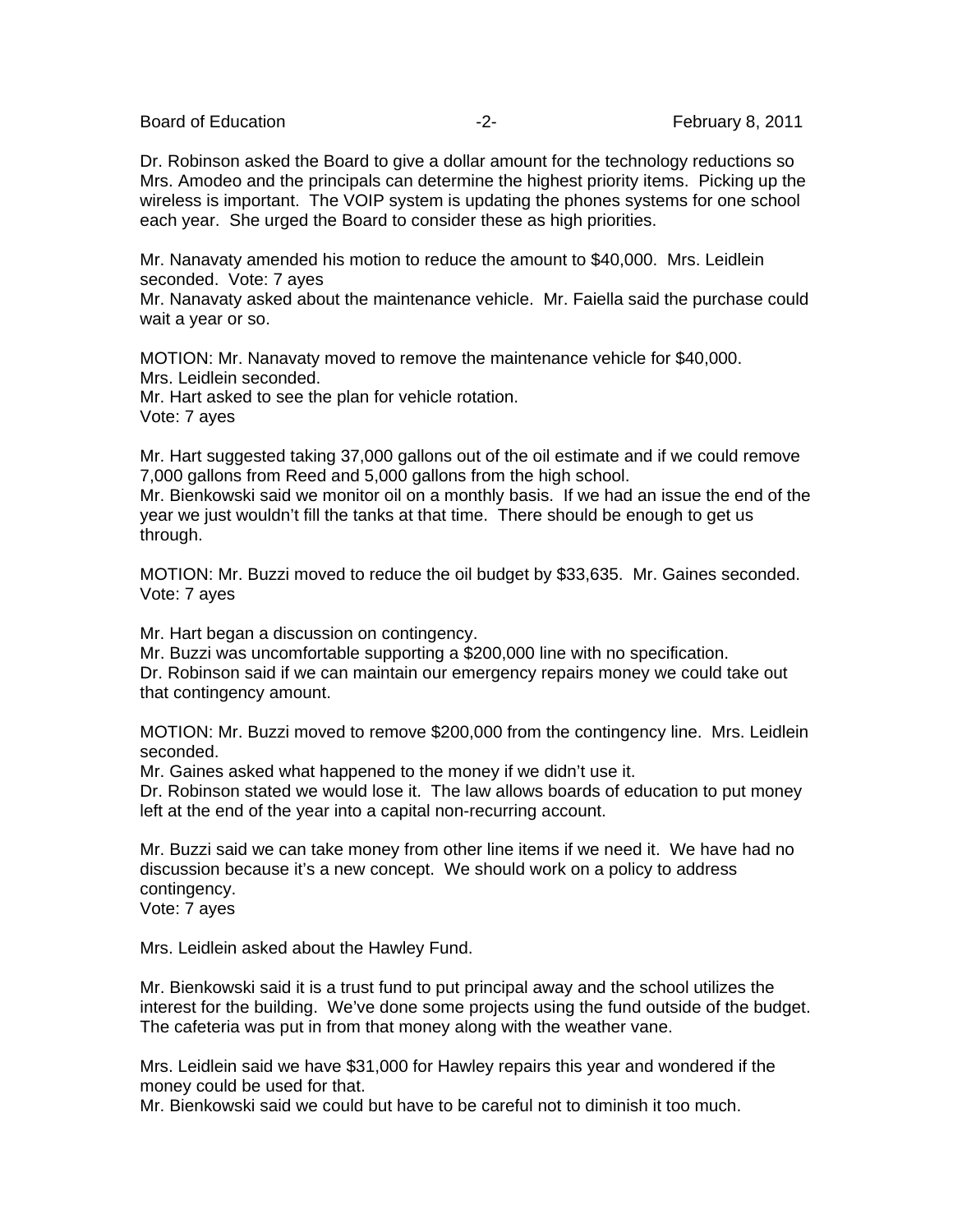Board of Education **-2-** February 8, 2011

Dr. Robinson asked the Board to give a dollar amount for the technology reductions so Mrs. Amodeo and the principals can determine the highest priority items. Picking up the wireless is important. The VOIP system is updating the phones systems for one school each year. She urged the Board to consider these as high priorities.

Mr. Nanavaty amended his motion to reduce the amount to \$40,000. Mrs. Leidlein seconded. Vote: 7 ayes

Mr. Nanavaty asked about the maintenance vehicle. Mr. Faiella said the purchase could wait a year or so.

MOTION: Mr. Nanavaty moved to remove the maintenance vehicle for \$40,000. Mrs. Leidlein seconded. Mr. Hart asked to see the plan for vehicle rotation.

Vote: 7 ayes

Mr. Hart suggested taking 37,000 gallons out of the oil estimate and if we could remove 7,000 gallons from Reed and 5,000 gallons from the high school.

Mr. Bienkowski said we monitor oil on a monthly basis. If we had an issue the end of the year we just wouldn't fill the tanks at that time. There should be enough to get us through.

MOTION: Mr. Buzzi moved to reduce the oil budget by \$33,635. Mr. Gaines seconded. Vote: 7 ayes

Mr. Hart began a discussion on contingency.

Mr. Buzzi was uncomfortable supporting a \$200,000 line with no specification.

Dr. Robinson said if we can maintain our emergency repairs money we could take out that contingency amount.

MOTION: Mr. Buzzi moved to remove \$200,000 from the contingency line. Mrs. Leidlein seconded.

Mr. Gaines asked what happened to the money if we didn't use it.

Dr. Robinson stated we would lose it. The law allows boards of education to put money left at the end of the year into a capital non-recurring account.

Mr. Buzzi said we can take money from other line items if we need it. We have had no discussion because it's a new concept. We should work on a policy to address contingency.

Vote: 7 ayes

Mrs. Leidlein asked about the Hawley Fund.

Mr. Bienkowski said it is a trust fund to put principal away and the school utilizes the interest for the building. We've done some projects using the fund outside of the budget. The cafeteria was put in from that money along with the weather vane.

Mrs. Leidlein said we have \$31,000 for Hawley repairs this year and wondered if the money could be used for that.

Mr. Bienkowski said we could but have to be careful not to diminish it too much.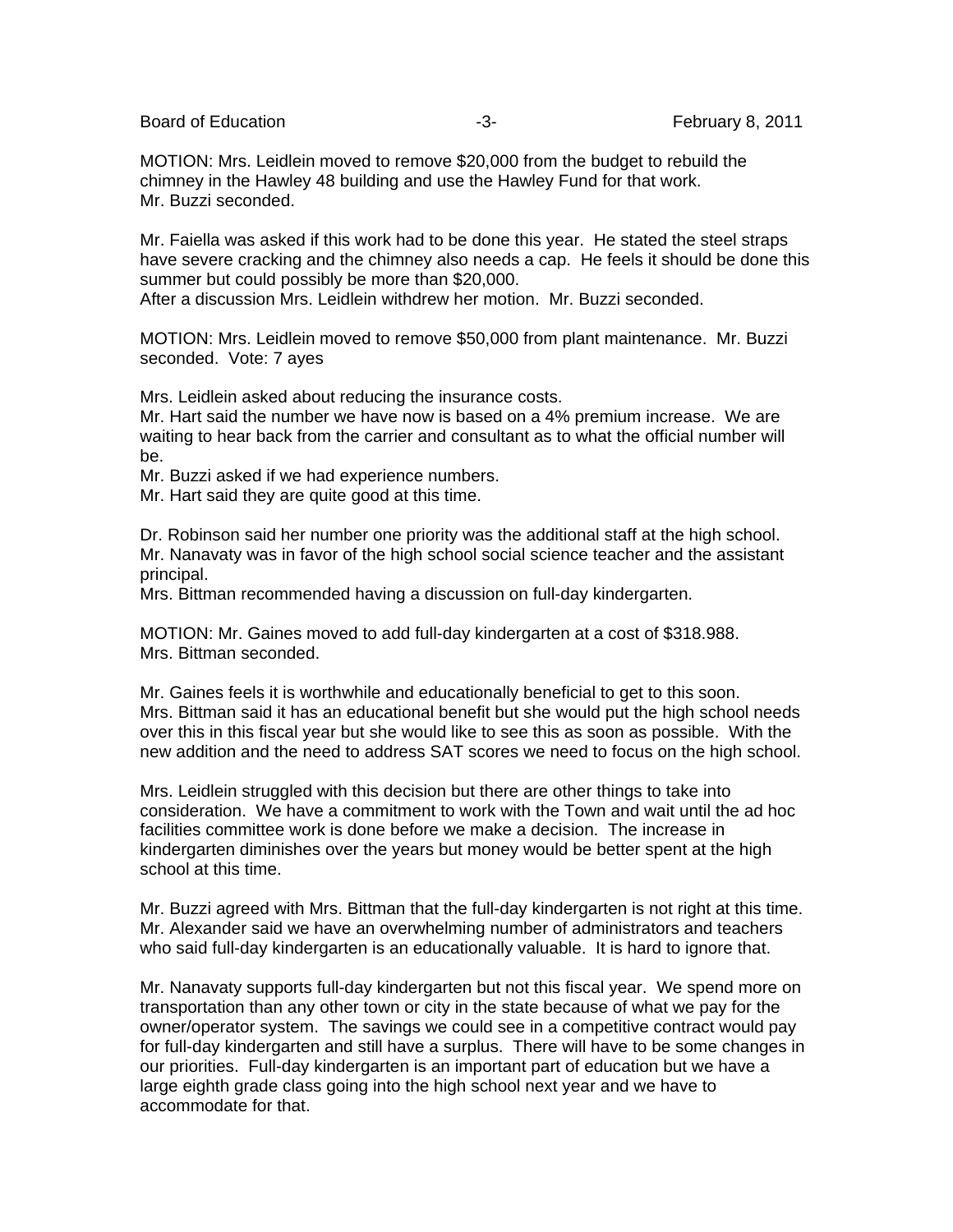Board of Education **-3-** February 8, 2011

MOTION: Mrs. Leidlein moved to remove \$20,000 from the budget to rebuild the chimney in the Hawley 48 building and use the Hawley Fund for that work. Mr. Buzzi seconded.

Mr. Faiella was asked if this work had to be done this year. He stated the steel straps have severe cracking and the chimney also needs a cap. He feels it should be done this summer but could possibly be more than \$20,000.

After a discussion Mrs. Leidlein withdrew her motion. Mr. Buzzi seconded.

MOTION: Mrs. Leidlein moved to remove \$50,000 from plant maintenance. Mr. Buzzi seconded. Vote: 7 ayes

Mrs. Leidlein asked about reducing the insurance costs.

Mr. Hart said the number we have now is based on a 4% premium increase. We are waiting to hear back from the carrier and consultant as to what the official number will be.

Mr. Buzzi asked if we had experience numbers.

Mr. Hart said they are quite good at this time.

Dr. Robinson said her number one priority was the additional staff at the high school. Mr. Nanavaty was in favor of the high school social science teacher and the assistant principal.

Mrs. Bittman recommended having a discussion on full-day kindergarten.

MOTION: Mr. Gaines moved to add full-day kindergarten at a cost of \$318.988. Mrs. Bittman seconded.

Mr. Gaines feels it is worthwhile and educationally beneficial to get to this soon. Mrs. Bittman said it has an educational benefit but she would put the high school needs over this in this fiscal year but she would like to see this as soon as possible. With the new addition and the need to address SAT scores we need to focus on the high school.

Mrs. Leidlein struggled with this decision but there are other things to take into consideration. We have a commitment to work with the Town and wait until the ad hoc facilities committee work is done before we make a decision. The increase in kindergarten diminishes over the years but money would be better spent at the high school at this time.

Mr. Buzzi agreed with Mrs. Bittman that the full-day kindergarten is not right at this time. Mr. Alexander said we have an overwhelming number of administrators and teachers who said full-day kindergarten is an educationally valuable. It is hard to ignore that.

Mr. Nanavaty supports full-day kindergarten but not this fiscal year. We spend more on transportation than any other town or city in the state because of what we pay for the owner/operator system. The savings we could see in a competitive contract would pay for full-day kindergarten and still have a surplus. There will have to be some changes in our priorities. Full-day kindergarten is an important part of education but we have a large eighth grade class going into the high school next year and we have to accommodate for that.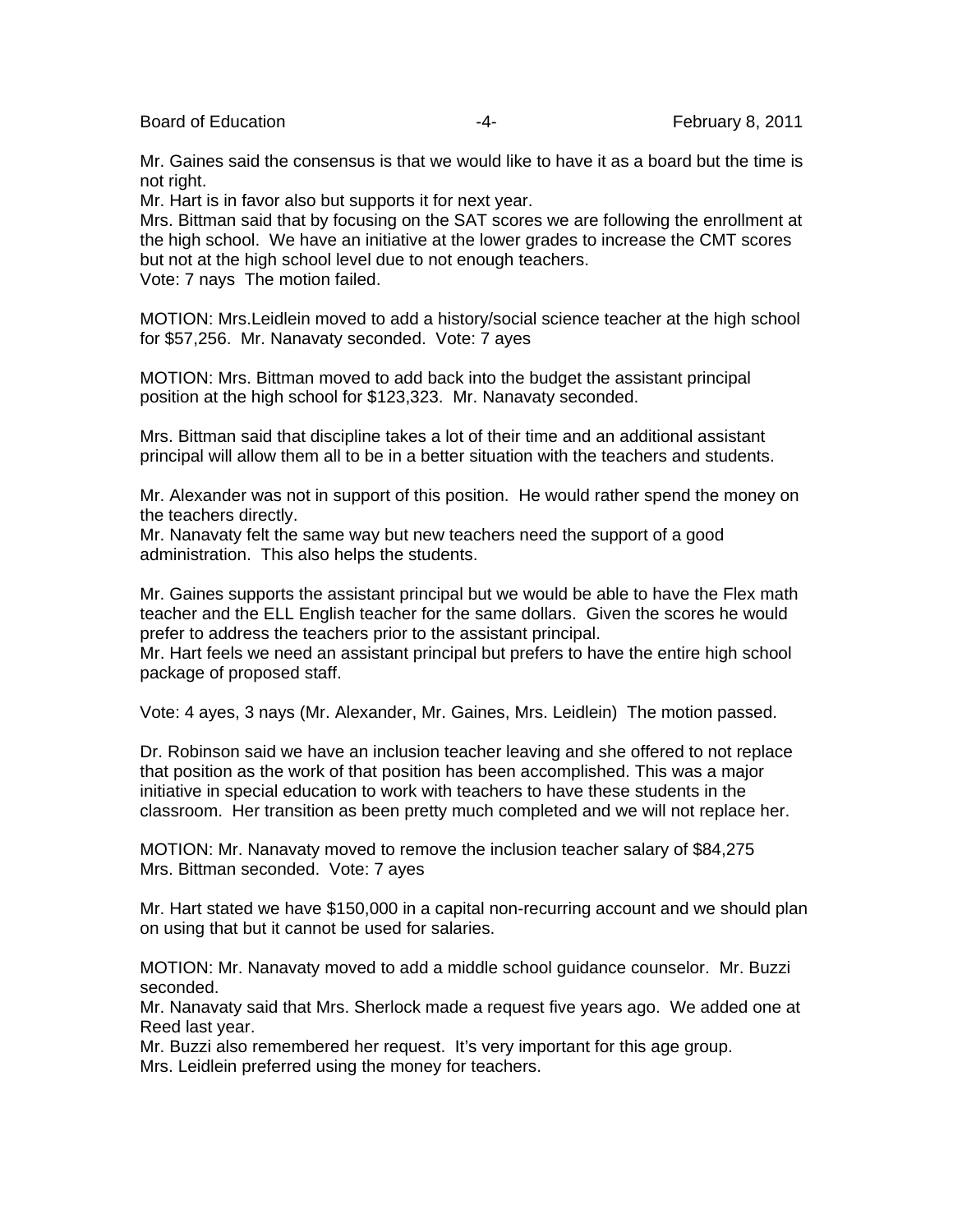Board of Education **Figure 1** February 8, 2011

Mr. Gaines said the consensus is that we would like to have it as a board but the time is not right.

Mr. Hart is in favor also but supports it for next year.

Mrs. Bittman said that by focusing on the SAT scores we are following the enrollment at the high school. We have an initiative at the lower grades to increase the CMT scores but not at the high school level due to not enough teachers. Vote: 7 nays The motion failed.

MOTION: Mrs.Leidlein moved to add a history/social science teacher at the high school for \$57,256. Mr. Nanavaty seconded. Vote: 7 ayes

MOTION: Mrs. Bittman moved to add back into the budget the assistant principal position at the high school for \$123,323. Mr. Nanavaty seconded.

Mrs. Bittman said that discipline takes a lot of their time and an additional assistant principal will allow them all to be in a better situation with the teachers and students.

Mr. Alexander was not in support of this position. He would rather spend the money on the teachers directly.

Mr. Nanavaty felt the same way but new teachers need the support of a good administration. This also helps the students.

Mr. Gaines supports the assistant principal but we would be able to have the Flex math teacher and the ELL English teacher for the same dollars. Given the scores he would prefer to address the teachers prior to the assistant principal.

Mr. Hart feels we need an assistant principal but prefers to have the entire high school package of proposed staff.

Vote: 4 ayes, 3 nays (Mr. Alexander, Mr. Gaines, Mrs. Leidlein) The motion passed.

Dr. Robinson said we have an inclusion teacher leaving and she offered to not replace that position as the work of that position has been accomplished. This was a major initiative in special education to work with teachers to have these students in the classroom. Her transition as been pretty much completed and we will not replace her.

MOTION: Mr. Nanavaty moved to remove the inclusion teacher salary of \$84,275 Mrs. Bittman seconded. Vote: 7 ayes

Mr. Hart stated we have \$150,000 in a capital non-recurring account and we should plan on using that but it cannot be used for salaries.

MOTION: Mr. Nanavaty moved to add a middle school guidance counselor. Mr. Buzzi seconded.

Mr. Nanavaty said that Mrs. Sherlock made a request five years ago. We added one at Reed last year.

Mr. Buzzi also remembered her request. It's very important for this age group. Mrs. Leidlein preferred using the money for teachers.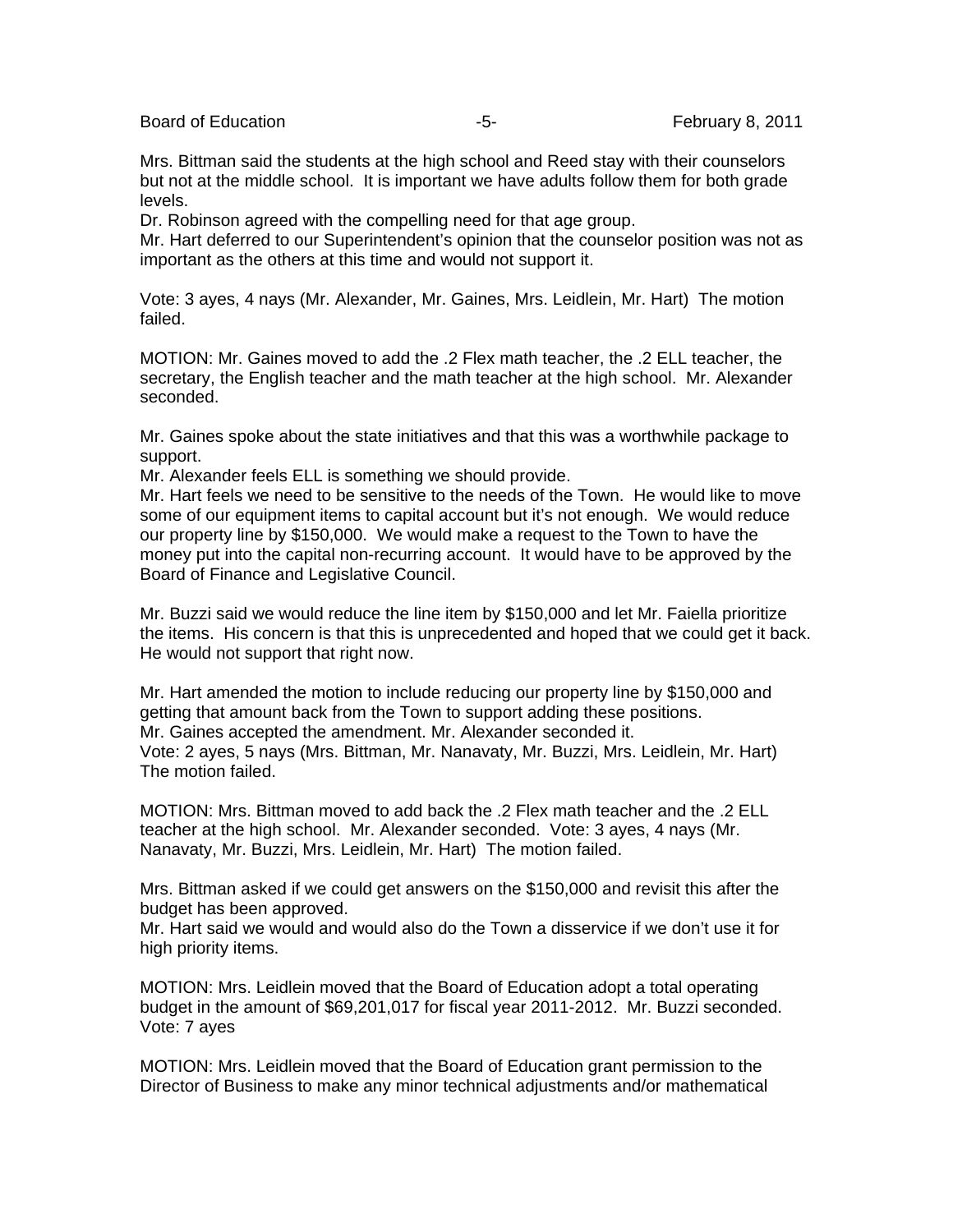Board of Education **-5-** February 8, 2011

Mrs. Bittman said the students at the high school and Reed stay with their counselors but not at the middle school. It is important we have adults follow them for both grade levels.

Dr. Robinson agreed with the compelling need for that age group.

Mr. Hart deferred to our Superintendent's opinion that the counselor position was not as important as the others at this time and would not support it.

Vote: 3 ayes, 4 nays (Mr. Alexander, Mr. Gaines, Mrs. Leidlein, Mr. Hart) The motion failed.

MOTION: Mr. Gaines moved to add the .2 Flex math teacher, the .2 ELL teacher, the secretary, the English teacher and the math teacher at the high school. Mr. Alexander seconded.

Mr. Gaines spoke about the state initiatives and that this was a worthwhile package to support.

Mr. Alexander feels ELL is something we should provide.

Mr. Hart feels we need to be sensitive to the needs of the Town. He would like to move some of our equipment items to capital account but it's not enough. We would reduce our property line by \$150,000. We would make a request to the Town to have the money put into the capital non-recurring account. It would have to be approved by the Board of Finance and Legislative Council.

Mr. Buzzi said we would reduce the line item by \$150,000 and let Mr. Faiella prioritize the items. His concern is that this is unprecedented and hoped that we could get it back. He would not support that right now.

Mr. Hart amended the motion to include reducing our property line by \$150,000 and getting that amount back from the Town to support adding these positions. Mr. Gaines accepted the amendment. Mr. Alexander seconded it. Vote: 2 ayes, 5 nays (Mrs. Bittman, Mr. Nanavaty, Mr. Buzzi, Mrs. Leidlein, Mr. Hart) The motion failed.

MOTION: Mrs. Bittman moved to add back the .2 Flex math teacher and the .2 ELL teacher at the high school. Mr. Alexander seconded. Vote: 3 ayes, 4 nays (Mr. Nanavaty, Mr. Buzzi, Mrs. Leidlein, Mr. Hart) The motion failed.

Mrs. Bittman asked if we could get answers on the \$150,000 and revisit this after the budget has been approved.

Mr. Hart said we would and would also do the Town a disservice if we don't use it for high priority items.

MOTION: Mrs. Leidlein moved that the Board of Education adopt a total operating budget in the amount of \$69,201,017 for fiscal year 2011-2012. Mr. Buzzi seconded. Vote: 7 ayes

MOTION: Mrs. Leidlein moved that the Board of Education grant permission to the Director of Business to make any minor technical adjustments and/or mathematical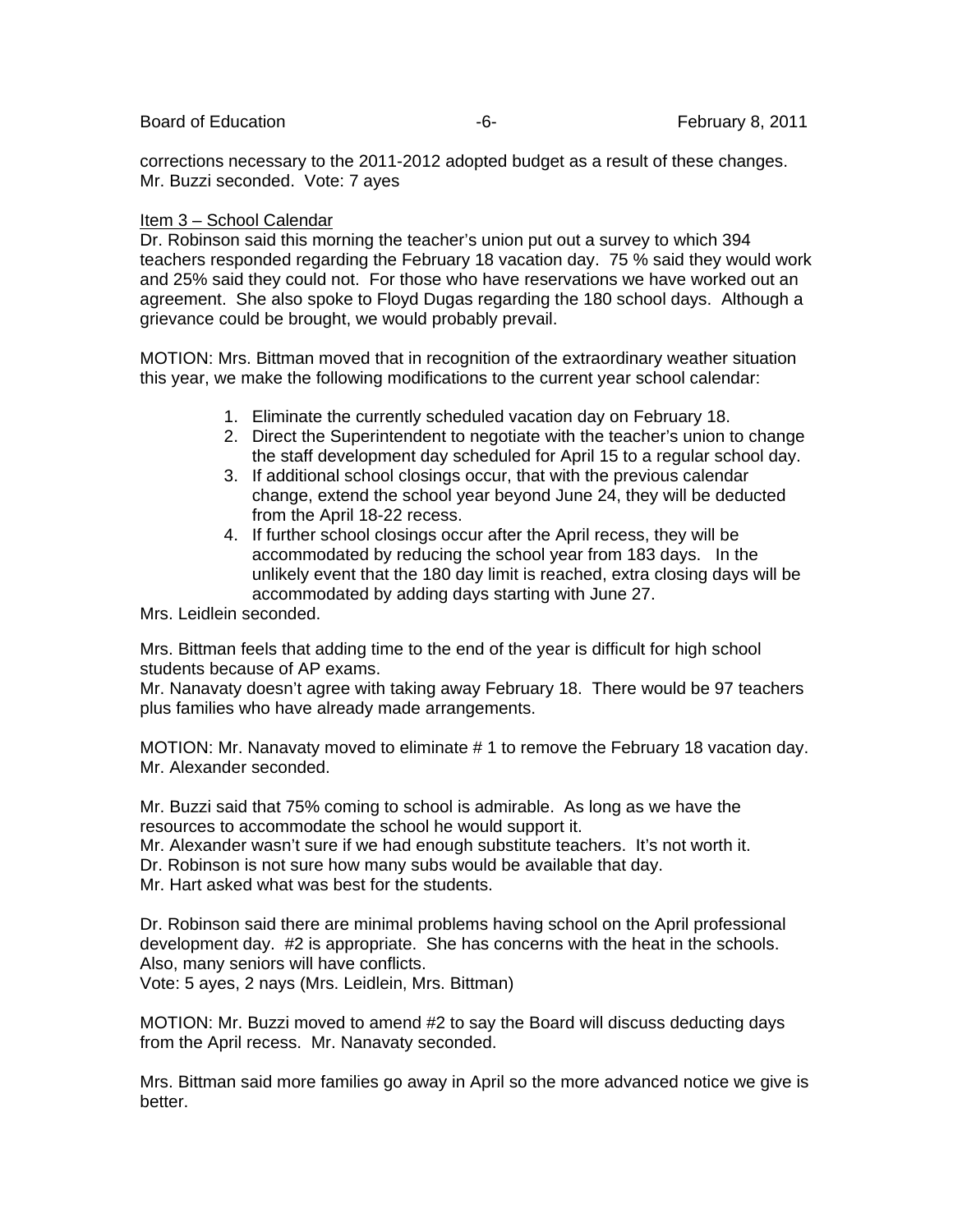corrections necessary to the 2011-2012 adopted budget as a result of these changes. Mr. Buzzi seconded. Vote: 7 ayes

## Item 3 – School Calendar

Dr. Robinson said this morning the teacher's union put out a survey to which 394 teachers responded regarding the February 18 vacation day. 75 % said they would work and 25% said they could not. For those who have reservations we have worked out an agreement. She also spoke to Floyd Dugas regarding the 180 school days. Although a grievance could be brought, we would probably prevail.

MOTION: Mrs. Bittman moved that in recognition of the extraordinary weather situation this year, we make the following modifications to the current year school calendar:

- 1. Eliminate the currently scheduled vacation day on February 18.
- 2. Direct the Superintendent to negotiate with the teacher's union to change the staff development day scheduled for April 15 to a regular school day.
- 3. If additional school closings occur, that with the previous calendar change, extend the school year beyond June 24, they will be deducted from the April 18-22 recess.
- 4. If further school closings occur after the April recess, they will be accommodated by reducing the school year from 183 days. In the unlikely event that the 180 day limit is reached, extra closing days will be accommodated by adding days starting with June 27.

Mrs. Leidlein seconded.

Mrs. Bittman feels that adding time to the end of the year is difficult for high school students because of AP exams.

Mr. Nanavaty doesn't agree with taking away February 18. There would be 97 teachers plus families who have already made arrangements.

MOTION: Mr. Nanavaty moved to eliminate # 1 to remove the February 18 vacation day. Mr. Alexander seconded.

Mr. Buzzi said that 75% coming to school is admirable. As long as we have the resources to accommodate the school he would support it.

Mr. Alexander wasn't sure if we had enough substitute teachers. It's not worth it.

Dr. Robinson is not sure how many subs would be available that day.

Mr. Hart asked what was best for the students.

Dr. Robinson said there are minimal problems having school on the April professional development day. #2 is appropriate. She has concerns with the heat in the schools. Also, many seniors will have conflicts.

Vote: 5 ayes, 2 nays (Mrs. Leidlein, Mrs. Bittman)

MOTION: Mr. Buzzi moved to amend #2 to say the Board will discuss deducting days from the April recess. Mr. Nanavaty seconded.

Mrs. Bittman said more families go away in April so the more advanced notice we give is better.